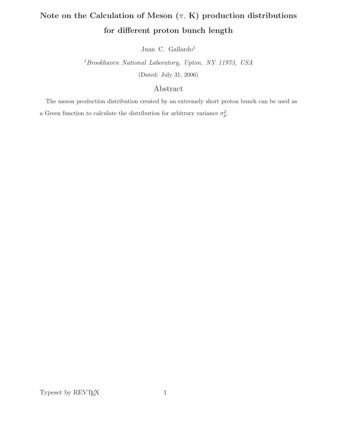# Note on the Calculation of Meson  $(\pi, K)$  production distributions for different proton bunch length

Juan C. Gallardo<sup>1</sup>

 ${}^{1}$  Brookhaven National Laboratory, Upton, NY 11973, USA (Dated: July 31, 2006)

## Abstract

The meson production distribution created by an extremely short proton bunch can be used as a Green function to calculate the distribution for arbitrary variance  $\sigma_p^2$ .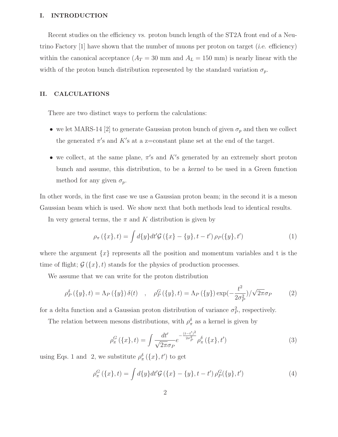## I. INTRODUCTION

Recent studies on the efficiency vs. proton bunch length of the ST2A front end of a Neutrino Factory  $[1]$  have shown that the number of muons per proton on target (*i.e.* efficiency) within the canonical acceptance  $(A_T = 30 \text{ mm and } A_L = 150 \text{ mm})$  is nearly linear with the width of the proton bunch distribution represented by the standard variation  $\sigma_p$ .

## II. CALCULATIONS

There are two distinct ways to perform the calculations:

- we let MARS-14 [2] to generate Gaussian proton bunch of given  $\sigma_p$  and then we collect the generated  $\pi$ 's and K's at a z=constant plane set at the end of the target.
- we collect, at the same plane,  $\pi$ 's and K's generated by an extremely short proton bunch and assume, this distribution, to be a kernel to be used in a Green function method for any given  $\sigma_p$ .

In other words, in the first case we use a Gaussian proton beam; in the second it is a meson Gaussian beam which is used. We show next that both methods lead to identical results.

In very general terms, the  $\pi$  and K distribution is given by

$$
\rho_{\pi}\left(\{x\},t\right) = \int d\{y\}dt'\mathcal{G}\left(\{x\} - \{y\},t - t'\right)\rho_{P}(\{y\},t')\tag{1}
$$

where the argument  $\{x\}$  represents all the position and momentum variables and t is the time of flight;  $\mathcal{G}(\{x\},t)$  stands for the physics of production processes.

We assume that we can write for the proton distribution

$$
\rho_P^{\delta}(\{y\},t) = \Lambda_P(\{y\})\,\delta(t) \quad , \quad \rho_P^G(\{y\},t) = \Lambda_P(\{y\})\exp(-\frac{t^2}{2\sigma_P^2})/\sqrt{2\pi}\sigma_P \tag{2}
$$

for a delta function and a Gaussian proton distribution of variance  $\sigma_P^2$ , respectively.

The relation between mesons distributions, with  $\rho_{\pi}^{\delta}$  as a kernel is given by

$$
\rho_{\pi}^{G}(\{x\},t) = \int \frac{dt'}{\sqrt{2\pi}\sigma_{P}} e^{-\frac{(t-t')^{2}}{2\sigma_{P}^{2}}} \rho_{\pi}^{\delta}(\{x\},t')
$$
\n(3)

using Eqs. 1 and 2, we substitute  $\rho_{\pi}^{\delta}(\lbrace x \rbrace, t')$  to get

$$
\rho_{\pi}^{G}(\{x\},t) = \int d\{y\}dt'\mathcal{G}(\{x\} - \{y\},t - t')\,\rho_{P}^{G}(\{y\},t')\tag{4}
$$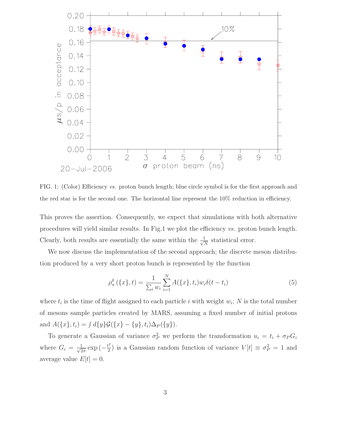

FIG. 1: (Color) Efficiency vs. proton bunch length; blue circle symbol is for the first approach and the red star is for the second one. The horizontal line represent the 10% reduction in efficiency.

This proves the assertion. Consequently, we expect that simulations with both alternative procedures will yield similar results. In Fig.1 we plot the efficiency vs. proton bunch length. Clearly, both results are essentially the same within the  $\frac{1}{\sqrt{N}}$  statistical error.

We now discuss the implementation of the second approach; the discrete meson distribution produced by a very short proton bunch is represented by the function

$$
\rho_{\pi}^{\delta}\left(\{x\},t\right) = \frac{1}{\sum_{i} w_{i}} \sum_{i=1}^{N} A(\{x\},t_{i}) w_{i} \delta(t-t_{i})
$$
\n(5)

where  $t_i$  is the time of flight assigned to each particle i with weight  $w_i$ ; N is the total number of mesons sample particles created by MARS, assuming a fixed number of initial protons and  $A({x}, t_i) = \int d{y}G({x} - {y}, t_i)\Delta_P({y}).$ 

To generate a Gaussian of variance  $\sigma_P^2$  we perform the transformation  $u_i = t_i + \sigma_P G_i$ where  $G_i = \frac{1}{\sqrt{2\pi}} \exp(-\frac{t^2}{2})$  is a Gaussian random function of variance  $V[t] \equiv \sigma_P^2 = 1$  and average value  $E[t]=0$ .